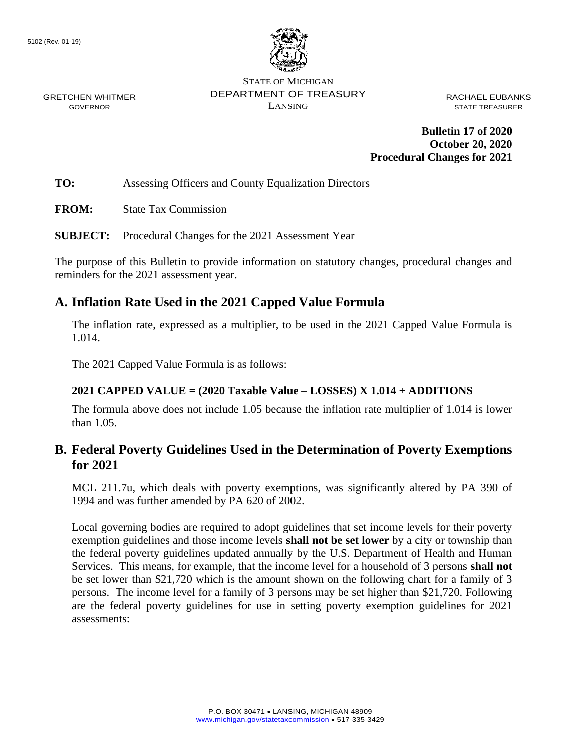

STATE OF MICHIGAN DEPARTMENT OF TREASURY LANSING

RACHAEL EUBANKS STATE TREASURER

**Bulletin 17 of 2020 October 20, 2020 Procedural Changes for 2021**

**TO:** Assessing Officers and County Equalization Directors

**FROM:** State Tax Commission

**SUBJECT:** Procedural Changes for the 2021 Assessment Year

The purpose of this Bulletin to provide information on statutory changes, procedural changes and reminders for the 2021 assessment year.

### **A. Inflation Rate Used in the 2021 Capped Value Formula**

The inflation rate, expressed as a multiplier, to be used in the 2021 Capped Value Formula is 1.014.

The 2021 Capped Value Formula is as follows:

#### **2021 CAPPED VALUE = (2020 Taxable Value – LOSSES) X 1.014 + ADDITIONS**

The formula above does not include 1.05 because the inflation rate multiplier of 1.014 is lower than 1.05.

### **B. Federal Poverty Guidelines Used in the Determination of Poverty Exemptions for 2021**

MCL 211.7u, which deals with poverty exemptions, was significantly altered by PA 390 of 1994 and was further amended by PA 620 of 2002.

Local governing bodies are required to adopt guidelines that set income levels for their poverty exemption guidelines and those income levels **shall not be set lower** by a city or township than the federal poverty guidelines updated annually by the U.S. Department of Health and Human Services. This means, for example, that the income level for a household of 3 persons **shall not** be set lower than \$21,720 which is the amount shown on the following chart for a family of 3 persons. The income level for a family of 3 persons may be set higher than \$21,720. Following are the federal poverty guidelines for use in setting poverty exemption guidelines for 2021 assessments: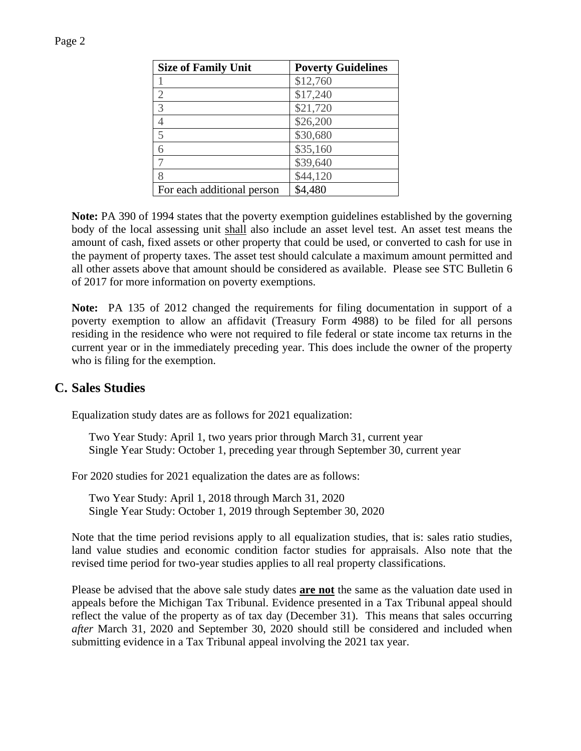| <b>Size of Family Unit</b> | <b>Poverty Guidelines</b> |
|----------------------------|---------------------------|
|                            | \$12,760                  |
| $\overline{2}$             | \$17,240                  |
| $\overline{3}$             | \$21,720                  |
| $\overline{4}$             | \$26,200                  |
| 5                          | \$30,680                  |
| 6                          | \$35,160                  |
|                            | \$39,640                  |
| 8                          | \$44,120                  |
| For each additional person | \$4,480                   |

**Note:** PA 390 of 1994 states that the poverty exemption guidelines established by the governing body of the local assessing unit shall also include an asset level test. An asset test means the amount of cash, fixed assets or other property that could be used, or converted to cash for use in the payment of property taxes. The asset test should calculate a maximum amount permitted and all other assets above that amount should be considered as available. Please see STC Bulletin 6 of 2017 for more information on poverty exemptions.

**Note:** PA 135 of 2012 changed the requirements for filing documentation in support of a poverty exemption to allow an affidavit (Treasury Form 4988) to be filed for all persons residing in the residence who were not required to file federal or state income tax returns in the current year or in the immediately preceding year. This does include the owner of the property who is filing for the exemption.

### **C. Sales Studies**

Equalization study dates are as follows for 2021 equalization:

Two Year Study: April 1, two years prior through March 31, current year Single Year Study: October 1, preceding year through September 30, current year

For 2020 studies for 2021 equalization the dates are as follows:

Two Year Study: April 1, 2018 through March 31, 2020 Single Year Study: October 1, 2019 through September 30, 2020

Note that the time period revisions apply to all equalization studies, that is: sales ratio studies, land value studies and economic condition factor studies for appraisals. Also note that the revised time period for two-year studies applies to all real property classifications.

Please be advised that the above sale study dates **are not** the same as the valuation date used in appeals before the Michigan Tax Tribunal. Evidence presented in a Tax Tribunal appeal should reflect the value of the property as of tax day (December 31). This means that sales occurring *after* March 31, 2020 and September 30, 2020 should still be considered and included when submitting evidence in a Tax Tribunal appeal involving the 2021 tax year.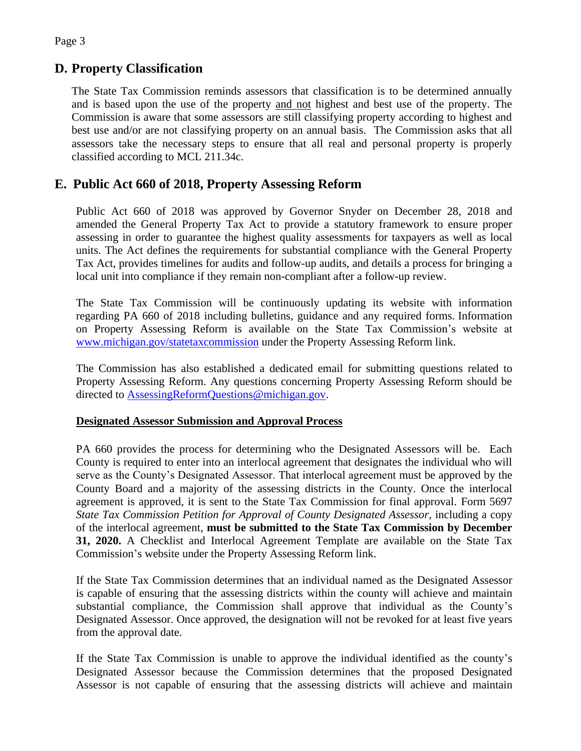## **D. Property Classification**

The State Tax Commission reminds assessors that classification is to be determined annually and is based upon the use of the property and not highest and best use of the property. The Commission is aware that some assessors are still classifying property according to highest and best use and/or are not classifying property on an annual basis. The Commission asks that all assessors take the necessary steps to ensure that all real and personal property is properly classified according to MCL 211.34c.

## **E. Public Act 660 of 2018, Property Assessing Reform**

Public Act 660 of 2018 was approved by Governor Snyder on December 28, 2018 and amended the General Property Tax Act to provide a statutory framework to ensure proper assessing in order to guarantee the highest quality assessments for taxpayers as well as local units. The Act defines the requirements for substantial compliance with the General Property Tax Act, provides timelines for audits and follow-up audits, and details a process for bringing a local unit into compliance if they remain non-compliant after a follow-up review.

The State Tax Commission will be continuously updating its website with information regarding PA 660 of 2018 including bulletins, guidance and any required forms. Information on Property Assessing Reform is available on the State Tax Commission's website at [www.michigan.gov/statetaxcommission](https://www.michigan.gov/statetaxcommission) under the Property Assessing Reform link.

The Commission has also established a dedicated email for submitting questions related to Property Assessing Reform. Any questions concerning Property Assessing Reform should be directed to [AssessingReformQuestions@michigan.gov.](mailto:AssessingReformQuestions@michigan.gov)

#### **Designated Assessor Submission and Approval Process**

PA 660 provides the process for determining who the Designated Assessors will be. Each County is required to enter into an interlocal agreement that designates the individual who will serve as the County's Designated Assessor. That interlocal agreement must be approved by the County Board and a majority of the assessing districts in the County. Once the interlocal agreement is approved, it is sent to the State Tax Commission for final approval. Form 5697 *State Tax Commission Petition for Approval of County Designated Assessor*, including a copy of the interlocal agreement, **must be submitted to the State Tax Commission by December 31, 2020.** A Checklist and Interlocal Agreement Template are available on the State Tax Commission's website under the Property Assessing Reform link.

If the State Tax Commission determines that an individual named as the Designated Assessor is capable of ensuring that the assessing districts within the county will achieve and maintain substantial compliance, the Commission shall approve that individual as the County's Designated Assessor. Once approved, the designation will not be revoked for at least five years from the approval date.

If the State Tax Commission is unable to approve the individual identified as the county's Designated Assessor because the Commission determines that the proposed Designated Assessor is not capable of ensuring that the assessing districts will achieve and maintain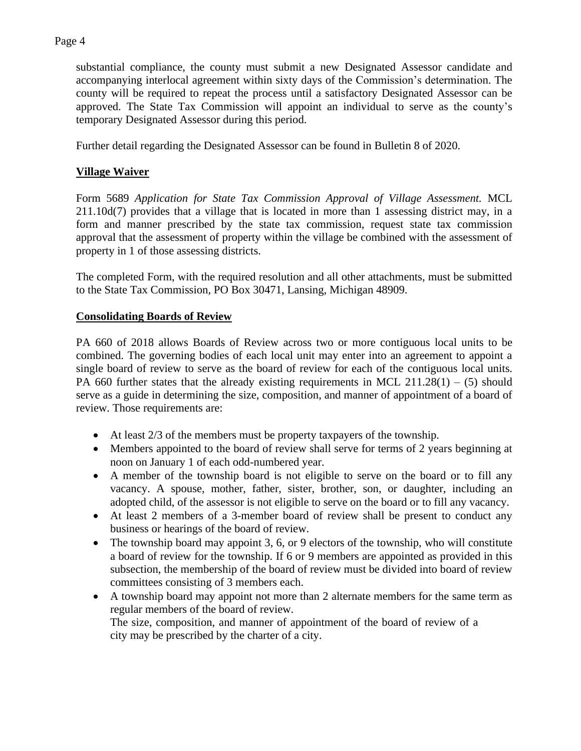### Page 4

substantial compliance, the county must submit a new Designated Assessor candidate and accompanying interlocal agreement within sixty days of the Commission's determination. The county will be required to repeat the process until a satisfactory Designated Assessor can be approved. The State Tax Commission will appoint an individual to serve as the county's temporary Designated Assessor during this period.

Further detail regarding the Designated Assessor can be found in Bulletin 8 of 2020.

### **Village Waiver**

Form 5689 *Application for State Tax Commission Approval of Village Assessment.* MCL 211.10d(7) provides that a village that is located in more than 1 assessing district may, in a form and manner prescribed by the state tax commission, request state tax commission approval that the assessment of property within the village be combined with the assessment of property in 1 of those assessing districts.

The completed Form, with the required resolution and all other attachments, must be submitted to the State Tax Commission, PO Box 30471, Lansing, Michigan 48909.

#### **Consolidating Boards of Review**

PA 660 of 2018 allows Boards of Review across two or more contiguous local units to be combined. The governing bodies of each local unit may enter into an agreement to appoint a single board of review to serve as the board of review for each of the contiguous local units. PA 660 further states that the already existing requirements in MCL 211.28(1) – (5) should serve as a guide in determining the size, composition, and manner of appointment of a board of review. Those requirements are:

- At least 2/3 of the members must be property taxpayers of the township.
- Members appointed to the board of review shall serve for terms of 2 years beginning at noon on January 1 of each odd-numbered year.
- A member of the township board is not eligible to serve on the board or to fill any vacancy. A spouse, mother, father, sister, brother, son, or daughter, including an adopted child, of the assessor is not eligible to serve on the board or to fill any vacancy.
- At least 2 members of a 3-member board of review shall be present to conduct any business or hearings of the board of review.
- The township board may appoint 3, 6, or 9 electors of the township, who will constitute a board of review for the township. If 6 or 9 members are appointed as provided in this subsection, the membership of the board of review must be divided into board of review committees consisting of 3 members each.
- A township board may appoint not more than 2 alternate members for the same term as regular members of the board of review. The size, composition, and manner of appointment of the board of review of a city may be prescribed by the charter of a city.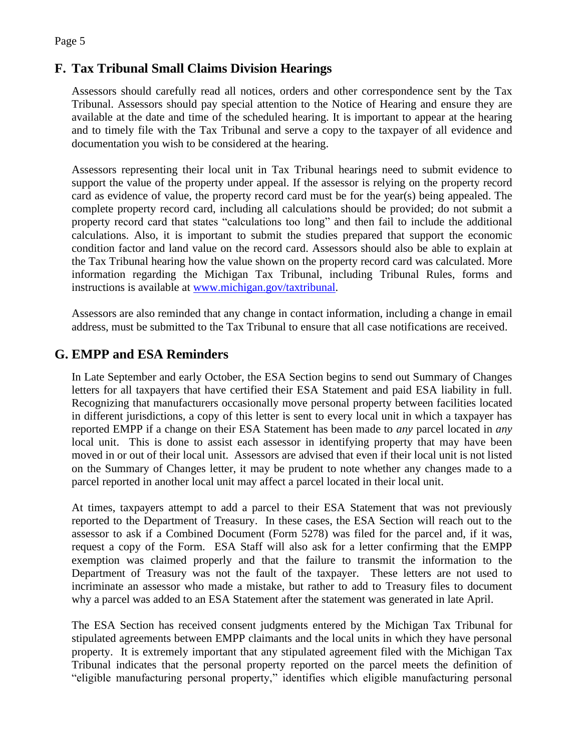# **F. Tax Tribunal Small Claims Division Hearings**

Assessors should carefully read all notices, orders and other correspondence sent by the Tax Tribunal. Assessors should pay special attention to the Notice of Hearing and ensure they are available at the date and time of the scheduled hearing. It is important to appear at the hearing and to timely file with the Tax Tribunal and serve a copy to the taxpayer of all evidence and documentation you wish to be considered at the hearing.

Assessors representing their local unit in Tax Tribunal hearings need to submit evidence to support the value of the property under appeal. If the assessor is relying on the property record card as evidence of value, the property record card must be for the year(s) being appealed. The complete property record card, including all calculations should be provided; do not submit a property record card that states "calculations too long" and then fail to include the additional calculations. Also, it is important to submit the studies prepared that support the economic condition factor and land value on the record card. Assessors should also be able to explain at the Tax Tribunal hearing how the value shown on the property record card was calculated. More information regarding the Michigan Tax Tribunal, including Tribunal Rules, forms and instructions is available at [www.michigan.gov/taxtribunal.](https://www.michigan.gov/taxtribunal)

Assessors are also reminded that any change in contact information, including a change in email address, must be submitted to the Tax Tribunal to ensure that all case notifications are received.

# **G. EMPP and ESA Reminders**

In Late September and early October, the ESA Section begins to send out Summary of Changes letters for all taxpayers that have certified their ESA Statement and paid ESA liability in full. Recognizing that manufacturers occasionally move personal property between facilities located in different jurisdictions, a copy of this letter is sent to every local unit in which a taxpayer has reported EMPP if a change on their ESA Statement has been made to *any* parcel located in *any*  local unit. This is done to assist each assessor in identifying property that may have been moved in or out of their local unit. Assessors are advised that even if their local unit is not listed on the Summary of Changes letter, it may be prudent to note whether any changes made to a parcel reported in another local unit may affect a parcel located in their local unit.

At times, taxpayers attempt to add a parcel to their ESA Statement that was not previously reported to the Department of Treasury. In these cases, the ESA Section will reach out to the assessor to ask if a Combined Document (Form 5278) was filed for the parcel and, if it was, request a copy of the Form. ESA Staff will also ask for a letter confirming that the EMPP exemption was claimed properly and that the failure to transmit the information to the Department of Treasury was not the fault of the taxpayer. These letters are not used to incriminate an assessor who made a mistake, but rather to add to Treasury files to document why a parcel was added to an ESA Statement after the statement was generated in late April.

The ESA Section has received consent judgments entered by the Michigan Tax Tribunal for stipulated agreements between EMPP claimants and the local units in which they have personal property. It is extremely important that any stipulated agreement filed with the Michigan Tax Tribunal indicates that the personal property reported on the parcel meets the definition of "eligible manufacturing personal property," identifies which eligible manufacturing personal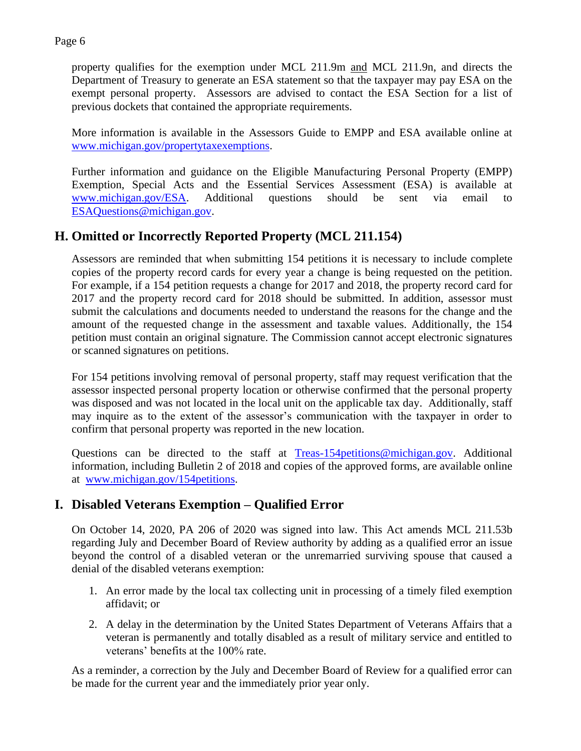property qualifies for the exemption under MCL 211.9m and MCL 211.9n, and directs the Department of Treasury to generate an ESA statement so that the taxpayer may pay ESA on the exempt personal property. Assessors are advised to contact the ESA Section for a list of previous dockets that contained the appropriate requirements.

More information is available in the Assessors Guide to EMPP and ESA available online at [www.michigan.gov/propertytaxexemptions.](https://www.michigan.gov/propertytaxexemptions)

Further information and guidance on the Eligible Manufacturing Personal Property (EMPP) Exemption, Special Acts and the Essential Services Assessment (ESA) is available at [www.michigan.gov/ESA.](https://www.michigan.gov/ESA) Additional questions should be sent via email to [ESAQuestions@michigan.gov.](mailto:ESAQuestions@michigan.gov)

# **H. Omitted or Incorrectly Reported Property (MCL 211.154)**

Assessors are reminded that when submitting 154 petitions it is necessary to include complete copies of the property record cards for every year a change is being requested on the petition. For example, if a 154 petition requests a change for 2017 and 2018, the property record card for 2017 and the property record card for 2018 should be submitted. In addition, assessor must submit the calculations and documents needed to understand the reasons for the change and the amount of the requested change in the assessment and taxable values. Additionally, the 154 petition must contain an original signature. The Commission cannot accept electronic signatures or scanned signatures on petitions.

For 154 petitions involving removal of personal property, staff may request verification that the assessor inspected personal property location or otherwise confirmed that the personal property was disposed and was not located in the local unit on the applicable tax day. Additionally, staff may inquire as to the extent of the assessor's communication with the taxpayer in order to confirm that personal property was reported in the new location.

Questions can be directed to the staff at [Treas-154petitions@michigan.gov.](mailto:Treas-154petitions@michigan.gov) Additional information, including Bulletin 2 of 2018 and copies of the approved forms, are available online at [www.michigan.gov/154petitions.](https://www.michigan.gov/154petitions)

# **I. Disabled Veterans Exemption – Qualified Error**

On October 14, 2020, PA 206 of 2020 was signed into law. This Act amends MCL 211.53b regarding July and December Board of Review authority by adding as a qualified error an issue beyond the control of a disabled veteran or the unremarried surviving spouse that caused a denial of the disabled veterans exemption:

- 1. An error made by the local tax collecting unit in processing of a timely filed exemption affidavit; or
- 2. A delay in the determination by the United States Department of Veterans Affairs that a veteran is permanently and totally disabled as a result of military service and entitled to veterans' benefits at the 100% rate.

As a reminder, a correction by the July and December Board of Review for a qualified error can be made for the current year and the immediately prior year only.